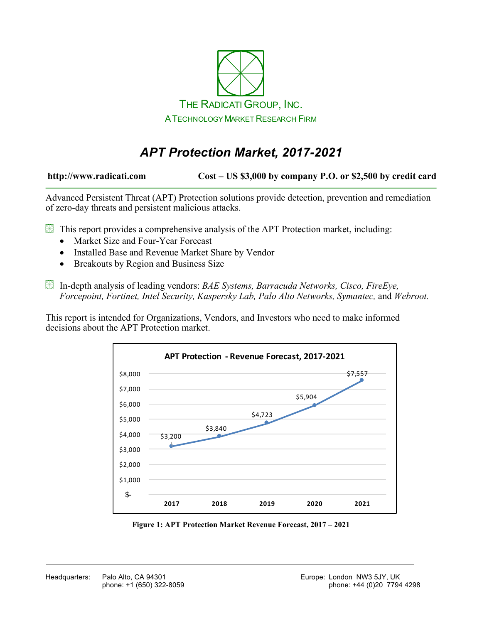

# *APT Protection Market, 2017-2021*

**http://www.radicati.com Cost – US \$3,000 by company P.O. or \$2,500 by credit card**

Advanced Persistent Threat (APT) Protection solutions provide detection, prevention and remediation of zero-day threats and persistent malicious attacks.

 $\mathbb B$  This report provides a comprehensive analysis of the APT Protection market, including:

- Market Size and Four-Year Forecast
- Installed Base and Revenue Market Share by Vendor
- Breakouts by Region and Business Size
- In-depth analysis of leading vendors: *BAE Systems, Barracuda Networks, Cisco, FireEye, Forcepoint, Fortinet, Intel Security, Kaspersky Lab, Palo Alto Networks, Symantec,* and *Webroot.*

This report is intended for Organizations, Vendors, and Investors who need to make informed decisions about the APT Protection market.



**Figure 1: APT Protection Market Revenue Forecast, 2017 – 2021**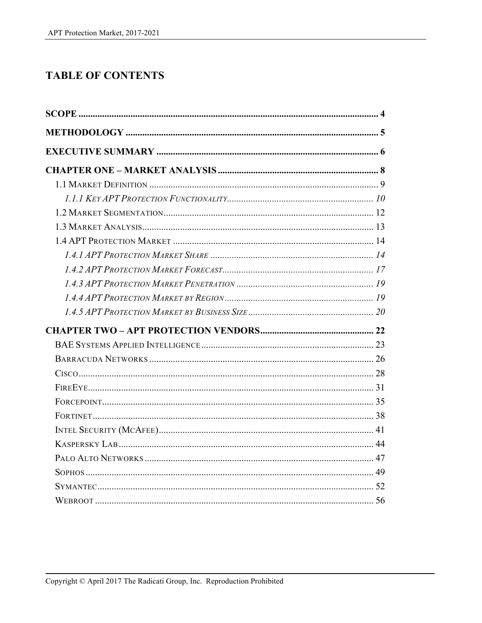## **TABLE OF CONTENTS**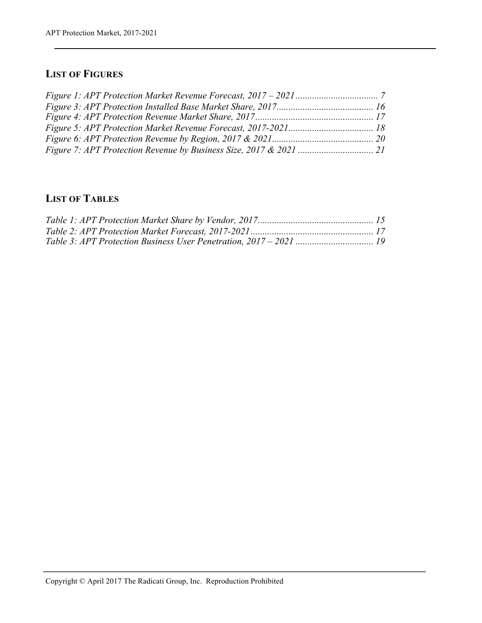### **LIST OF FIGURES**

### **LIST OF TABLES**